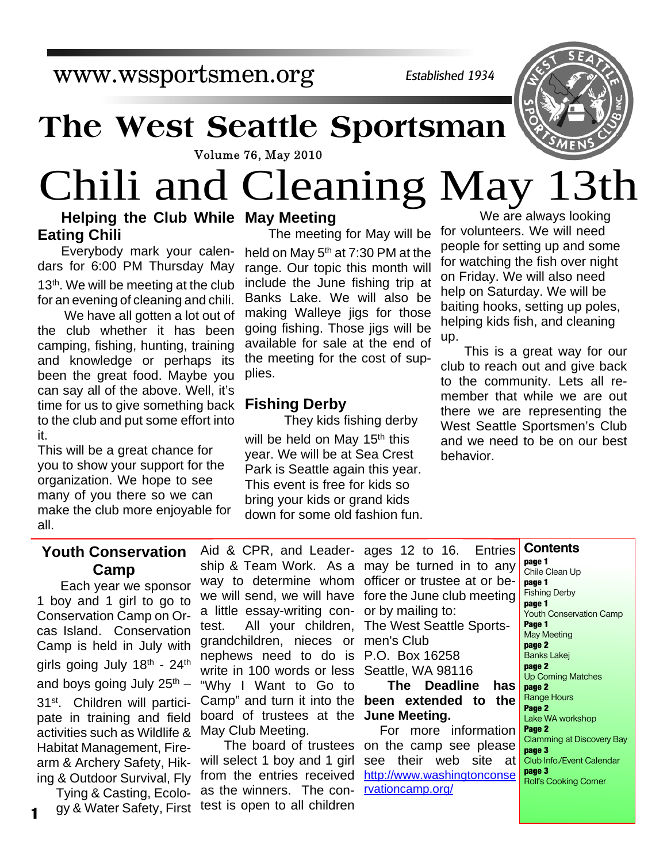www.wssportsmen.org

*Established 1934*

## **The West Seattle Sportsman**

**Volume 76, May 2010** 

# Chili and Cleaning May 13th

#### **Helping the Club While May Meeting Eating Chili**

Everybody mark your calendars for 6:00 PM Thursday May 13<sup>th</sup>. We will be meeting at the club for an evening of cleaning and chili.

 We have all gotten a lot out of the club whether it has been camping, fishing, hunting, training and knowledge or perhaps its been the great food. Maybe you can say all of the above. Well, it's time for us to give something back to the club and put some effort into it.

This will be a great chance for you to show your support for the organization. We hope to see many of you there so we can make the club more enjoyable for all.

The meeting for May will be held on May 5<sup>th</sup> at 7:30 PM at the range. Our topic this month will include the June fishing trip at Banks Lake. We will also be making Walleye jigs for those going fishing. Those jigs will be available for sale at the end of the meeting for the cost of supplies.

#### **Fishing Derby**

 They kids fishing derby will be held on May 15<sup>th</sup> this year. We will be at Sea Crest Park is Seattle again this year. This event is free for kids so bring your kids or grand kids down for some old fashion fun.

 We are always looking for volunteers. We will need people for setting up and some for watching the fish over night on Friday. We will also need help on Saturday. We will be baiting hooks, setting up poles, helping kids fish, and cleaning up.

This is a great way for our club to reach out and give back to the community. Lets all remember that while we are out there we are representing the West Seattle Sportsmen's Club and we need to be on our best behavior.

**Contents**

#### **Youth Conservation Camp**

Each year we sponsor 1 boy and 1 girl to go to Conservation Camp on Orcas Island. Conservation Camp is held in July with girls going July 18th - 24th and boys going July  $25<sup>th</sup>$  – 31st. Children will participate in training and field activities such as Wildlife & Habitat Management, Firearm & Archery Safety, Hiking & Outdoor Survival, Fly

Tying & Casting, Ecology & Water Safety, First test is open to all children

**1**

Aid & CPR, and Leadership & Team Work. As a way to determine whom we will send, we will have a little essay-writing contest. All your children, grandchildren, nieces or nephews need to do is write in 100 words or less "Why I Want to Go to Camp" and turn it into the board of trustees at the May Club Meeting.

The board of trustees will select 1 boy and 1 girl from the entries received as the winners. The con-

| ages 12 to 16. Entries       |  |  |  |  |  |  |
|------------------------------|--|--|--|--|--|--|
| may be turned in to any      |  |  |  |  |  |  |
| officer or trustee at or be- |  |  |  |  |  |  |
| fore the June club meeting   |  |  |  |  |  |  |
| or by mailing to:            |  |  |  |  |  |  |
| The West Seattle Sports-     |  |  |  |  |  |  |
| men's Club                   |  |  |  |  |  |  |
| P.O. Box 16258               |  |  |  |  |  |  |
| Seattle, WA 98116            |  |  |  |  |  |  |
| The Deadline has             |  |  |  |  |  |  |
| been extended to the         |  |  |  |  |  |  |
| June Meeting.                |  |  |  |  |  |  |
| For more information         |  |  |  |  |  |  |
| on the camp see please       |  |  |  |  |  |  |

see their web site at http://www.washingtonconse rvationcamp.org/

**page 1** Chile Clean Up **page 1** Fishing Derby **page 1** Youth Conservation Camp **Page 1** May Meeting **page 2** Banks Lakej **page 2** Up Coming Matches **page 2** Range Hours **Page 2** Lake WA workshop **Page 2** Clamming at Discovery Bay **page 3** Club Info./Event Calendar **page 3** Rolf's Cooking Corner

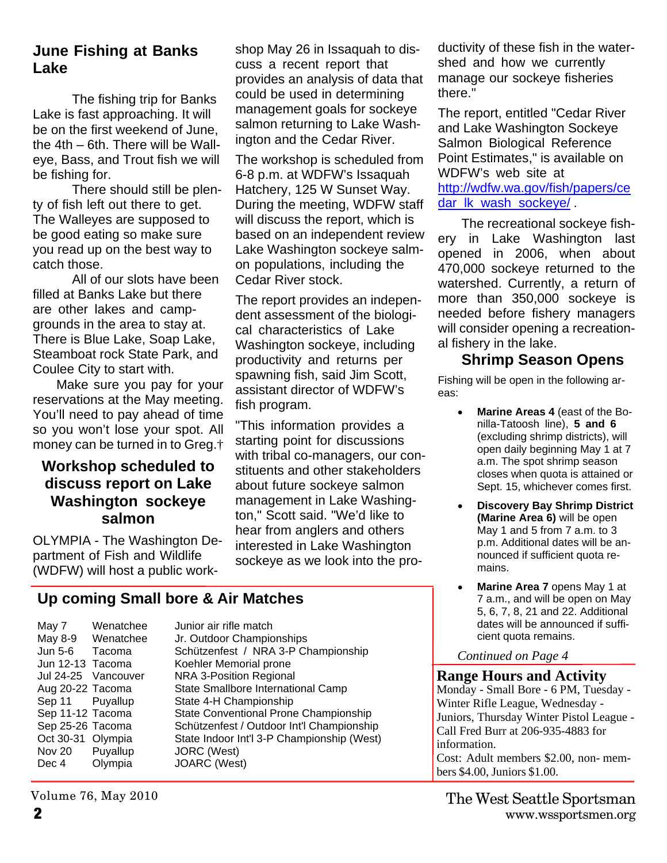#### **June Fishing at Banks Lake**

 The fishing trip for Banks Lake is fast approaching. It will be on the first weekend of June, the 4th – 6th. There will be Walleye, Bass, and Trout fish we will be fishing for.

 There should still be plenty of fish left out there to get. The Walleyes are supposed to be good eating so make sure you read up on the best way to catch those.

 All of our slots have been filled at Banks Lake but there are other lakes and campgrounds in the area to stay at. There is Blue Lake, Soap Lake, Steamboat rock State Park, and Coulee City to start with.

Make sure you pay for your reservations at the May meeting. You'll need to pay ahead of time so you won't lose your spot. All money can be turned in to Greg.†

#### **Workshop scheduled to discuss report on Lake Washington sockeye salmon**

OLYMPIA - The Washington Department of Fish and Wildlife (WDFW) will host a public workshop May 26 in Issaquah to discuss a recent report that provides an analysis of data that could be used in determining management goals for sockeye salmon returning to Lake Washington and the Cedar River.

The workshop is scheduled from 6-8 p.m. at WDFW's Issaquah Hatchery, 125 W Sunset Way. During the meeting, WDFW staff will discuss the report, which is based on an independent review Lake Washington sockeye salmon populations, including the Cedar River stock.

The report provides an independent assessment of the biological characteristics of Lake Washington sockeye, including productivity and returns per spawning fish, said Jim Scott, assistant director of WDFW's fish program.

"This information provides a starting point for discussions with tribal co-managers, our constituents and other stakeholders about future sockeye salmon management in Lake Washington," Scott said. "We'd like to hear from anglers and others interested in Lake Washington sockeye as we look into the pro-

**Up coming Small bore & Air Matches**

Nov 20 Puyallup JORC (West) Dec 4 Olympia JOARC (West)

May 7 Wenatchee Junior air rifle match May 8-9 Wenatchee Jr. Outdoor Championships Jun 5-6 Tacoma Schützenfest / NRA 3-P Championship Jun 12-13 Tacoma Koehler Memorial prone Jul 24-25 Vancouver NRA 3-Position Regional Aug 20-22 Tacoma State Smallbore International Camp Sep 11 Puyallup State 4-H Championship Sep 11-12 Tacoma State Conventional Prone Championship Sep 25-26 Tacoma Schützenfest / Outdoor Int'l Championship<br>Oct 30-31 Olympia State Indoor Int'l 3-P Championship (West) State Indoor Int'l 3-P Championship (West) ductivity of these fish in the watershed and how we currently manage our sockeye fisheries there."

The report, entitled "Cedar River and Lake Washington Sockeye Salmon Biological Reference Point Estimates," is available on WDFW's web site at http://wdfw.wa.gov/fish/papers/ce dar\_lk\_wash\_sockeye/

The recreational sockeye fishery in Lake Washington last opened in 2006, when about 470,000 sockeye returned to the watershed. Currently, a return of more than 350,000 sockeye is needed before fishery managers will consider opening a recreational fishery in the lake.

#### **Shrimp Season Opens**

Fishing will be open in the following areas:

- **Marine Areas 4** (east of the Bo- $\bullet$ nilla-Tatoosh line), **5 and 6** (excluding shrimp districts), will open daily beginning May 1 at 7 a.m. The spot shrimp season closes when quota is attained or Sept. 15, whichever comes first.
- **Discovery Bay Shrimp District**  $\bullet$ **(Marine Area 6)** will be open May 1 and 5 from 7 a.m. to 3 p.m. Additional dates will be announced if sufficient quota remains.
- $\bullet$ **Marine Area 7** opens May 1 at 7 a.m., and will be open on May 5, 6, 7, 8, 21 and 22. Additional dates will be announced if sufficient quota remains.

#### *Continued on Page 4*

#### **Range Hours and Activity**

Monday - Small Bore - 6 PM, Tuesday - Winter Rifle League, Wednesday - Juniors, Thursday Winter Pistol League - Call Fred Burr at 206-935-4883 for information.

Cost: Adult members \$2.00, non- members \$4.00, Juniors \$1.00.

Volume 76, May 2010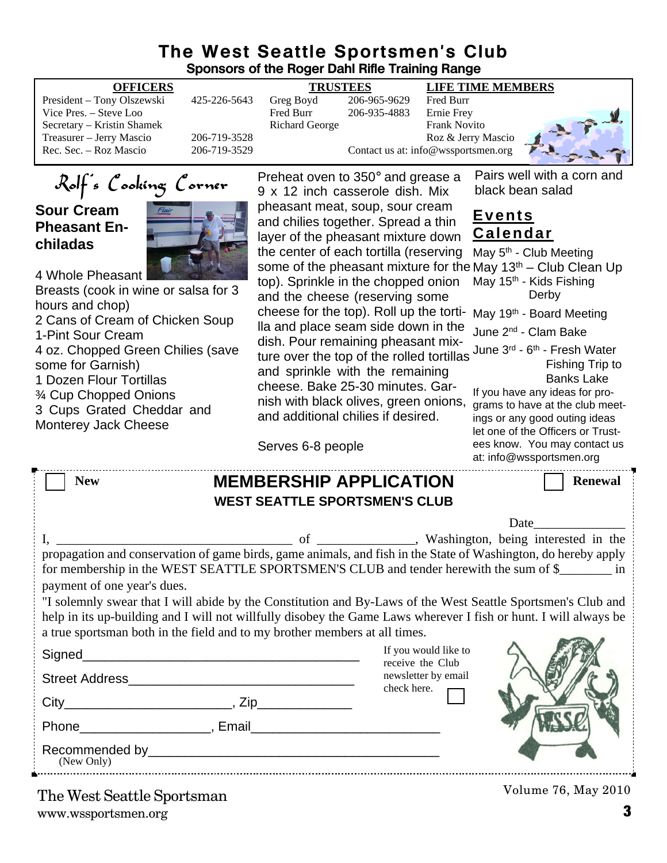#### **The West Seattle Sportsmen's Club Sponsors of the Roger Dahl Rifle Training Range**

| Sponsors of the Roger Dahl Rifle Training Range                                                                                                                                                                                                                                                                                                                                                                                                                                                                                                                                                          |                                              |                                                                                                                                                                                                                                                                                                                                                                                                                                                                                                                                                                                 |                              |                                                                                                             |                                                                                                                                                                                                                                                                                                                                                                                                                                                                                                                                          |  |
|----------------------------------------------------------------------------------------------------------------------------------------------------------------------------------------------------------------------------------------------------------------------------------------------------------------------------------------------------------------------------------------------------------------------------------------------------------------------------------------------------------------------------------------------------------------------------------------------------------|----------------------------------------------|---------------------------------------------------------------------------------------------------------------------------------------------------------------------------------------------------------------------------------------------------------------------------------------------------------------------------------------------------------------------------------------------------------------------------------------------------------------------------------------------------------------------------------------------------------------------------------|------------------------------|-------------------------------------------------------------------------------------------------------------|------------------------------------------------------------------------------------------------------------------------------------------------------------------------------------------------------------------------------------------------------------------------------------------------------------------------------------------------------------------------------------------------------------------------------------------------------------------------------------------------------------------------------------------|--|
| <b>OFFICERS</b>                                                                                                                                                                                                                                                                                                                                                                                                                                                                                                                                                                                          |                                              | <b>TRUSTEES</b>                                                                                                                                                                                                                                                                                                                                                                                                                                                                                                                                                                 |                              | <b>LIFE TIME MEMBERS</b>                                                                                    |                                                                                                                                                                                                                                                                                                                                                                                                                                                                                                                                          |  |
| President - Tony Olszewski<br>Vice Pres. - Steve Loo<br>Secretary - Kristin Shamek<br>Treasurer - Jerry Mascio<br>Rec. Sec. - Roz Mascio                                                                                                                                                                                                                                                                                                                                                                                                                                                                 | 425-226-5643<br>206-719-3528<br>206-719-3529 | Greg Boyd<br>Fred Burr<br><b>Richard George</b>                                                                                                                                                                                                                                                                                                                                                                                                                                                                                                                                 | 206-965-9629<br>206-935-4883 | Fred Burr<br>Ernie Frey<br><b>Frank Novito</b><br>Roz & Jerry Mascio<br>Contact us at: info@wssportsmen.org |                                                                                                                                                                                                                                                                                                                                                                                                                                                                                                                                          |  |
|                                                                                                                                                                                                                                                                                                                                                                                                                                                                                                                                                                                                          |                                              |                                                                                                                                                                                                                                                                                                                                                                                                                                                                                                                                                                                 |                              |                                                                                                             |                                                                                                                                                                                                                                                                                                                                                                                                                                                                                                                                          |  |
| Rolf's Cooking Corner                                                                                                                                                                                                                                                                                                                                                                                                                                                                                                                                                                                    |                                              | Preheat oven to 350° and grease a<br>9 x 12 inch casserole dish. Mix                                                                                                                                                                                                                                                                                                                                                                                                                                                                                                            |                              |                                                                                                             | Pairs well with a corn and<br>black bean salad                                                                                                                                                                                                                                                                                                                                                                                                                                                                                           |  |
| <b>Sour Cream</b><br><b>Pheasant En-</b><br>chiladas<br>4 Whole Pheasant<br>Breasts (cook in wine or salsa for 3<br>hours and chop)<br>2 Cans of Cream of Chicken Soup<br>1-Pint Sour Cream<br>4 oz. Chopped Green Chilies (save<br>some for Garnish)<br>1 Dozen Flour Tortillas<br>3⁄4 Cup Chopped Onions<br>3 Cups Grated Cheddar and<br>Monterey Jack Cheese                                                                                                                                                                                                                                          |                                              | pheasant meat, soup, sour cream<br>and chilies together. Spread a thin<br>layer of the pheasant mixture down<br>the center of each tortilla (reserving<br>top). Sprinkle in the chopped onion<br>and the cheese (reserving some<br>cheese for the top). Roll up the torti-<br>lla and place seam side down in the<br>dish. Pour remaining pheasant mix-<br>ture over the top of the rolled tortillas<br>and sprinkle with the remaining<br>cheese. Bake 25-30 minutes. Gar-<br>nish with black olives, green onions,<br>and additional chilies if desired.<br>Serves 6-8 people |                              |                                                                                                             | <u>Events</u><br><u>Calendar</u><br>May 5 <sup>th</sup> - Club Meeting<br>some of the pheasant mixture for the May $13th$ – Club Clean Up<br>May 15 <sup>th</sup> - Kids Fishing<br>Derby<br>May 19th - Board Meeting<br>June 2 <sup>nd</sup> - Clam Bake<br>June 3rd - 6th - Fresh Water<br>Fishing Trip to<br><b>Banks Lake</b><br>If you have any ideas for pro-<br>grams to have at the club meet-<br>ings or any good outing ideas<br>let one of the Officers or Trust-<br>ees know. You may contact us<br>at: info@wssportsmen.org |  |
| <b>New</b>                                                                                                                                                                                                                                                                                                                                                                                                                                                                                                                                                                                               |                                              |                                                                                                                                                                                                                                                                                                                                                                                                                                                                                                                                                                                 |                              |                                                                                                             | <b>Renewal</b>                                                                                                                                                                                                                                                                                                                                                                                                                                                                                                                           |  |
| <b>MEMBERSHIP APPLICATION</b><br><b>WEST SEATTLE SPORTSMEN'S CLUB</b>                                                                                                                                                                                                                                                                                                                                                                                                                                                                                                                                    |                                              |                                                                                                                                                                                                                                                                                                                                                                                                                                                                                                                                                                                 |                              |                                                                                                             |                                                                                                                                                                                                                                                                                                                                                                                                                                                                                                                                          |  |
|                                                                                                                                                                                                                                                                                                                                                                                                                                                                                                                                                                                                          |                                              |                                                                                                                                                                                                                                                                                                                                                                                                                                                                                                                                                                                 |                              |                                                                                                             |                                                                                                                                                                                                                                                                                                                                                                                                                                                                                                                                          |  |
|                                                                                                                                                                                                                                                                                                                                                                                                                                                                                                                                                                                                          |                                              |                                                                                                                                                                                                                                                                                                                                                                                                                                                                                                                                                                                 |                              |                                                                                                             | Date                                                                                                                                                                                                                                                                                                                                                                                                                                                                                                                                     |  |
| _, Washington, being interested in the<br>οt<br>propagation and conservation of game birds, game animals, and fish in the State of Washington, do hereby apply<br>for membership in the WEST SEATTLE SPORTSMEN'S CLUB and tender herewith the sum of \$<br>payment of one year's dues.<br>"I solemnly swear that I will abide by the Constitution and By-Laws of the West Seattle Sportsmen's Club and<br>help in its up-building and I will not willfully disobey the Game Laws wherever I fish or hunt. I will always be<br>a true sportsman both in the field and to my brother members at all times. |                                              |                                                                                                                                                                                                                                                                                                                                                                                                                                                                                                                                                                                 |                              |                                                                                                             |                                                                                                                                                                                                                                                                                                                                                                                                                                                                                                                                          |  |
|                                                                                                                                                                                                                                                                                                                                                                                                                                                                                                                                                                                                          |                                              |                                                                                                                                                                                                                                                                                                                                                                                                                                                                                                                                                                                 |                              | If you would like to                                                                                        |                                                                                                                                                                                                                                                                                                                                                                                                                                                                                                                                          |  |
|                                                                                                                                                                                                                                                                                                                                                                                                                                                                                                                                                                                                          |                                              |                                                                                                                                                                                                                                                                                                                                                                                                                                                                                                                                                                                 |                              | receive the Club<br>newsletter by email<br>check here.                                                      |                                                                                                                                                                                                                                                                                                                                                                                                                                                                                                                                          |  |
|                                                                                                                                                                                                                                                                                                                                                                                                                                                                                                                                                                                                          |                                              |                                                                                                                                                                                                                                                                                                                                                                                                                                                                                                                                                                                 |                              |                                                                                                             |                                                                                                                                                                                                                                                                                                                                                                                                                                                                                                                                          |  |
|                                                                                                                                                                                                                                                                                                                                                                                                                                                                                                                                                                                                          |                                              |                                                                                                                                                                                                                                                                                                                                                                                                                                                                                                                                                                                 |                              |                                                                                                             |                                                                                                                                                                                                                                                                                                                                                                                                                                                                                                                                          |  |

Recommended by\_\_\_\_\_\_\_\_\_\_\_\_\_\_\_\_\_\_\_\_\_\_\_\_\_\_\_\_\_\_\_\_\_\_\_\_\_\_\_\_ (New Only)

Volume 76, May 2010

www.wssportsmen.org **3** The West Seattle Sportsman